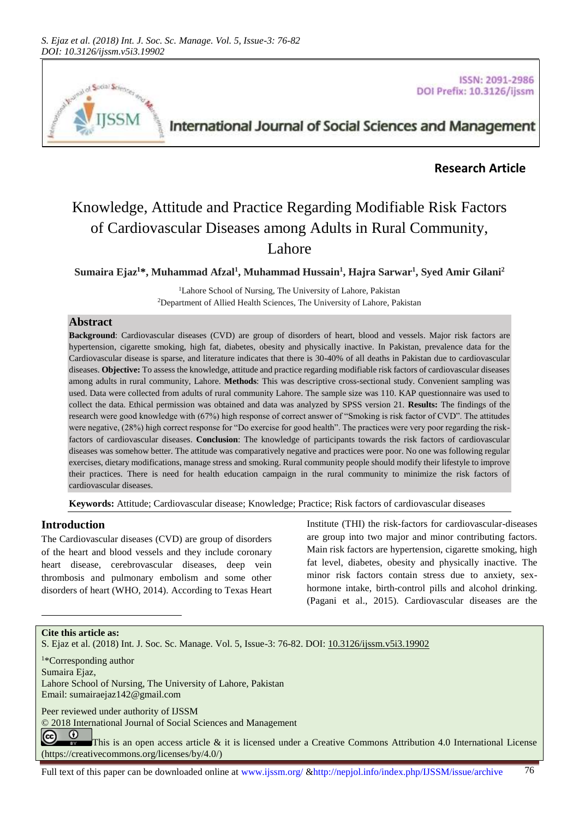

**ISSN: 2091-2986** DOI Prefix: 10.3126/ijssm

International Journal of Social Sciences and Management

# **Research Article**

# Knowledge, Attitude and Practice Regarding Modifiable Risk Factors of Cardiovascular Diseases among Adults in Rural Community, Lahore

**Sumaira Ejaz<sup>1</sup>\*, Muhammad Afzal<sup>1</sup> , Muhammad Hussain<sup>1</sup> , Hajra Sarwar<sup>1</sup> , Syed Amir Gilani<sup>2</sup>**

<sup>1</sup>Lahore School of Nursing, The University of Lahore, Pakistan <sup>2</sup>Department of Allied Health Sciences, The University of Lahore, Pakistan

## **Abstract**

**Background**: Cardiovascular diseases (CVD) are group of disorders of heart, blood and vessels. Major risk factors are hypertension, cigarette smoking, high fat, diabetes, obesity and physically inactive. In Pakistan, prevalence data for the Cardiovascular disease is sparse, and literature indicates that there is 30-40% of all deaths in Pakistan due to cardiovascular diseases. **Objective:** To assess the knowledge, attitude and practice regarding modifiable risk factors of cardiovascular diseases among adults in rural community, Lahore. **Methods**: This was descriptive cross-sectional study. Convenient sampling was used. Data were collected from adults of rural community Lahore. The sample size was 110. KAP questionnaire was used to collect the data. Ethical permission was obtained and data was analyzed by SPSS version 21. **Results:** The findings of the research were good knowledge with (67%) high response of correct answer of "Smoking is risk factor of CVD". The attitudes were negative, (28%) high correct response for "Do exercise for good health". The practices were very poor regarding the riskfactors of cardiovascular diseases. **Conclusion**: The knowledge of participants towards the risk factors of cardiovascular diseases was somehow better. The attitude was comparatively negative and practices were poor. No one was following regular exercises, dietary modifications, manage stress and smoking. Rural community people should modify their lifestyle to improve their practices. There is need for health education campaign in the rural community to minimize the risk factors of cardiovascular diseases.

**Keywords:** Attitude; Cardiovascular disease; Knowledge; Practice; Risk factors of cardiovascular diseases

## **Introduction**

The Cardiovascular diseases (CVD) are group of disorders of the heart and blood vessels and they include coronary heart disease, cerebrovascular diseases, deep vein thrombosis and pulmonary embolism and some other disorders of heart (WHO, 2014). According to Texas Heart Institute (THI) the risk-factors for cardiovascular-diseases are group into two major and minor contributing factors. Main risk factors are hypertension, cigarette smoking, high fat level, diabetes, obesity and physically inactive. The minor risk factors contain stress due to anxiety, sexhormone intake, birth-control pills and alcohol drinking. (Pagani et al., 2015). Cardiovascular diseases are the

#### **Cite this article as:**

l

S. Ejaz et al. (2018) Int. J. Soc. Sc. Manage. Vol. 5, Issue-3: 76-82. DOI: [10.3126/ijssm.v5i3.19902](http://dx.doi.org/10.3126/ijssm.v5i3.19902)

<sup>1</sup>\*Corresponding author Sumaira Ejaz, Lahore School of Nursing, The University of Lahore, Pakistan Email[: sumairaejaz142@gmail.com](mailto:sumairaejaz142@gmail.com)

Peer reviewed under authority of IJSSM

© 2018 International Journal of Social Sciences and Management

 $\odot$ (cc) This is an open access article & it is licensed under a Creative Commons Attribution 4.0 International License [\(https://creativecommons.org/licenses/by/4.0/\)](https://creativecommons.org/licenses/by/4.0/)

Full text of this paper can be downloaded online at www.ijssm.org/ &http://nepjol.info/index.php/IJSSM/issue/archive 76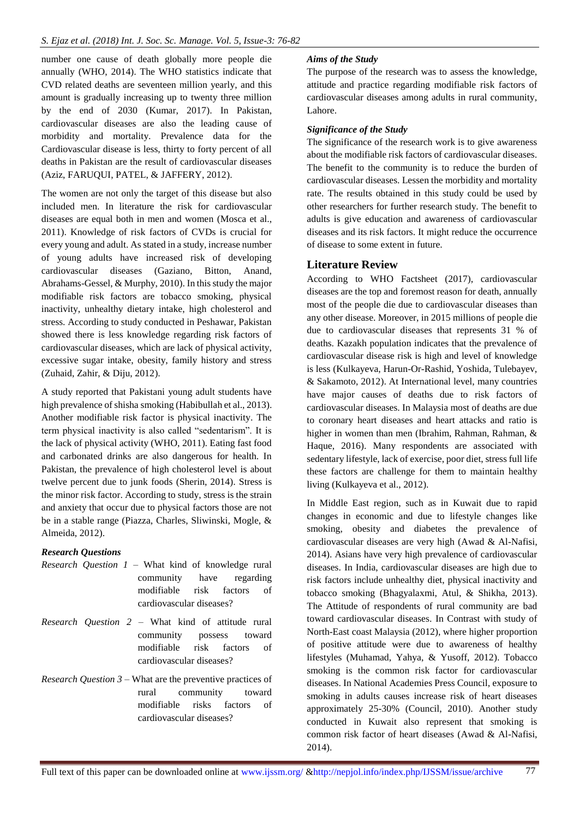number one cause of death globally more people die annually (WHO, 2014). The WHO statistics indicate that CVD related deaths are seventeen million yearly, and this amount is gradually increasing up to twenty three million by the end of 2030 (Kumar, 2017). In Pakistan, cardiovascular diseases are also the leading cause of morbidity and mortality. Prevalence data for the Cardiovascular disease is less, thirty to forty percent of all deaths in Pakistan are the result of cardiovascular diseases (Aziz, FARUQUI, PATEL, & JAFFERY, 2012).

The women are not only the target of this disease but also included men. In literature the risk for cardiovascular diseases are equal both in men and women (Mosca et al., 2011). Knowledge of risk factors of CVDs is crucial for every young and adult. As stated in a study, increase number of young adults have increased risk of developing cardiovascular diseases (Gaziano, Bitton, Anand, Abrahams-Gessel, & Murphy, 2010). In this study the major modifiable risk factors are tobacco smoking, physical inactivity, unhealthy dietary intake, high cholesterol and stress. According to study conducted in Peshawar, Pakistan showed there is less knowledge regarding risk factors of cardiovascular diseases, which are lack of physical activity, excessive sugar intake, obesity, family history and stress (Zuhaid, Zahir, & Diju, 2012).

A study reported that Pakistani young adult students have high prevalence of shisha smoking (Habibullah et al., 2013). Another modifiable risk factor is physical inactivity. The term physical inactivity is also called "sedentarism". It is the lack of physical activity (WHO, 2011). Eating fast food and carbonated drinks are also dangerous for health. In Pakistan, the prevalence of high cholesterol level is about twelve percent due to junk foods (Sherin, 2014). Stress is the minor risk factor. According to study, stress is the strain and anxiety that occur due to physical factors those are not be in a stable range (Piazza, Charles, Sliwinski, Mogle, & Almeida, 2012).

# *Research Questions*

- *Research Question 1* What kind of knowledge rural community have regarding modifiable risk factors of cardiovascular diseases?
- *Research Question 2* What kind of attitude rural community possess toward modifiable risk factors of cardiovascular diseases?
- *Research Question 3* What are the preventive practices of rural community toward modifiable risks factors of cardiovascular diseases?

## *Aims of the Study*

The purpose of the research was to assess the knowledge, attitude and practice regarding modifiable risk factors of cardiovascular diseases among adults in rural community, Lahore.

## *Significance of the Study*

The significance of the research work is to give awareness about the modifiable risk factors of cardiovascular diseases. The benefit to the community is to reduce the burden of cardiovascular diseases. Lessen the morbidity and mortality rate. The results obtained in this study could be used by other researchers for further research study. The benefit to adults is give education and awareness of cardiovascular diseases and its risk factors. It might reduce the occurrence of disease to some extent in future.

## **Literature Review**

According to WHO Factsheet (2017), cardiovascular diseases are the top and foremost reason for death, annually most of the people die due to cardiovascular diseases than any other disease. Moreover, in 2015 millions of people die due to cardiovascular diseases that represents 31 % of deaths. Kazakh population indicates that the prevalence of cardiovascular disease risk is high and level of knowledge is less (Kulkayeva, Harun-Or-Rashid, Yoshida, Tulebayev, & Sakamoto, 2012). At International level, many countries have major causes of deaths due to risk factors of cardiovascular diseases. In Malaysia most of deaths are due to coronary heart diseases and heart attacks and ratio is higher in women than men (Ibrahim, Rahman, Rahman, & Haque, 2016). Many respondents are associated with sedentary lifestyle, lack of exercise, poor diet, stress full life these factors are challenge for them to maintain healthy living (Kulkayeva et al., 2012).

In Middle East region, such as in Kuwait due to rapid changes in economic and due to lifestyle changes like smoking, obesity and diabetes the prevalence of cardiovascular diseases are very high (Awad & Al-Nafisi, 2014). Asians have very high prevalence of cardiovascular diseases. In India, cardiovascular diseases are high due to risk factors include unhealthy diet, physical inactivity and tobacco smoking (Bhagyalaxmi, Atul, & Shikha, 2013). The Attitude of respondents of rural community are bad toward cardiovascular diseases. In Contrast with study of North-East coast Malaysia (2012), where higher proportion of positive attitude were due to awareness of healthy lifestyles (Muhamad, Yahya, & Yusoff, 2012). Tobacco smoking is the common risk factor for cardiovascular diseases. In National Academies Press Council, exposure to smoking in adults causes increase risk of heart diseases approximately 25-30% (Council, 2010). Another study conducted in Kuwait also represent that smoking is common risk factor of heart diseases (Awad & Al-Nafisi, 2014).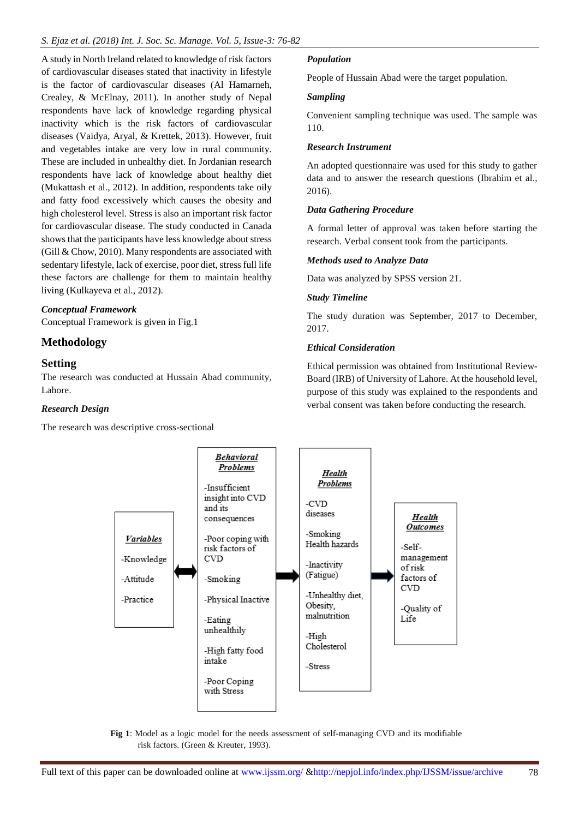A study in North Ireland related to knowledge of risk factors of cardiovascular diseases stated that inactivity in lifestyle is the factor of cardiovascular diseases (Al Hamarneh, Crealey, & McElnay, 2011). In another study of Nepal respondents have lack of knowledge regarding physical inactivity which is the risk factors of cardiovascular diseases (Vaidya, Aryal, & Krettek, 2013). However, fruit and vegetables intake are very low in rural community. These are included in unhealthy diet. In Jordanian research respondents have lack of knowledge about healthy diet (Mukattash et al., 2012). In addition, respondents take oily and fatty food excessively which causes the obesity and high cholesterol level. Stress is also an important risk factor for cardiovascular disease. The study conducted in Canada shows that the participants have less knowledge about stress (Gill & Chow, 2010). Many respondents are associated with sedentary lifestyle, lack of exercise, poor diet, stress full life these factors are challenge for them to maintain healthy living (Kulkayeva et al., 2012).

#### *Conceptual Framework*

Conceptual Framework is given in Fig.1

# **Methodology**

## **Setting**

The research was conducted at Hussain Abad community, Lahore.

#### *Research Design*

The research was descriptive cross-sectional

#### *Population*

People of Hussain Abad were the target population.

#### *Sampling*

Convenient sampling technique was used. The sample was 110.

#### *Research Instrument*

An adopted questionnaire was used for this study to gather data and to answer the research questions (Ibrahim et al., 2016).

#### *Data Gathering Procedure*

A formal letter of approval was taken before starting the research. Verbal consent took from the participants.

#### *Methods used to Analyze Data*

Data was analyzed by SPSS version 21.

#### *Study Timeline*

The study duration was September, 2017 to December, 2017.

#### *Ethical Consideration*

Ethical permission was obtained from Institutional Review-Board (IRB) of University of Lahore. At the household level, purpose of this study was explained to the respondents and verbal consent was taken before conducting the research.



**Fig 1**: Model as a logic model for the needs assessment of self-managing CVD and its modifiable risk factors. (Green & Kreuter, 1993).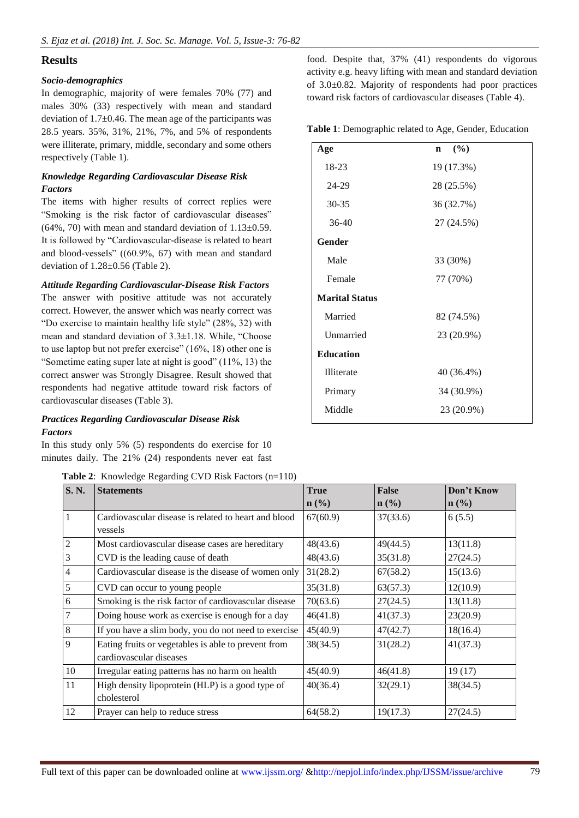# **Results**

## *Socio-demographics*

In demographic, majority of were females 70% (77) and males 30% (33) respectively with mean and standard deviation of  $1.7\pm0.46$ . The mean age of the participants was 28.5 years. 35%, 31%, 21%, 7%, and 5% of respondents were illiterate, primary, middle, secondary and some others respectively (Table 1).

## *Knowledge Regarding Cardiovascular Disease Risk Factors*

The items with higher results of correct replies were "Smoking is the risk factor of cardiovascular diseases"  $(64\%, 70)$  with mean and standard deviation of  $1.13\pm0.59$ . It is followed by "Cardiovascular-disease is related to heart and blood-vessels" ((60.9%, 67) with mean and standard deviation of 1.28±0.56 (Table 2).

## *Attitude Regarding Cardiovascular-Disease Risk Factors*

The answer with positive attitude was not accurately correct. However, the answer which was nearly correct was "Do exercise to maintain healthy life style" (28%, 32) with mean and standard deviation of 3.3±1.18. While, "Choose to use laptop but not prefer exercise" (16%, 18) other one is "Sometime eating super late at night is good" (11%, 13) the correct answer was Strongly Disagree. Result showed that respondents had negative attitude toward risk factors of cardiovascular diseases (Table 3).

## *Practices Regarding Cardiovascular Disease Risk Factors*

In this study only 5% (5) respondents do exercise for 10 minutes daily. The 21% (24) respondents never eat fast

**Table 2**: Knowledge Regarding CVD Risk Factors (n=110)

food. Despite that, 37% (41) respondents do vigorous activity e.g. heavy lifting with mean and standard deviation of 3.0±0.82. Majority of respondents had poor practices toward risk factors of cardiovascular diseases (Table 4).

**Table 1**: Demographic related to Age, Gender, Education

| Age                   | (%)<br>$\mathbf n$ |
|-----------------------|--------------------|
| 18-23                 | 19 (17.3%)         |
| 24-29                 | 28 (25.5%)         |
| 30-35                 | 36 (32.7%)         |
| 36-40                 | 27 (24.5%)         |
| Gender                |                    |
| Male                  | 33 (30%)           |
| Female                | 77 (70%)           |
| <b>Marital Status</b> |                    |
| Married               | 82 (74.5%)         |
| Unmarried             | 23 (20.9%)         |
| <b>Education</b>      |                    |
| <b>Illiterate</b>     | 40 (36.4%)         |
| Primary               | 34 (30.9%)         |
| Middle                | 23 (20.9%)         |

| S. N.          | <b>Statements</b>                                                              | True                        | <b>False</b>                | Don't Know                  |
|----------------|--------------------------------------------------------------------------------|-----------------------------|-----------------------------|-----------------------------|
|                |                                                                                | $n\left(\frac{0}{0}\right)$ | $n\left(\frac{0}{0}\right)$ | $n\left(\frac{0}{0}\right)$ |
| 1              | Cardiovascular disease is related to heart and blood<br>vessels                | 67(60.9)                    | 37(33.6)                    | 6(5.5)                      |
| $\mathfrak{2}$ | Most cardiovascular disease cases are hereditary                               | 48(43.6)                    | 49(44.5)                    | 13(11.8)                    |
| 3              | CVD is the leading cause of death                                              | 48(43.6)                    | 35(31.8)                    | 27(24.5)                    |
| $\overline{4}$ | Cardiovascular disease is the disease of women only                            | 31(28.2)                    | 67(58.2)                    | 15(13.6)                    |
| 5              | CVD can occur to young people                                                  | 35(31.8)                    | 63(57.3)                    | 12(10.9)                    |
| 6              | Smoking is the risk factor of cardiovascular disease                           | 70(63.6)                    | 27(24.5)                    | 13(11.8)                    |
| 7              | Doing house work as exercise is enough for a day                               | 46(41.8)                    | 41(37.3)                    | 23(20.9)                    |
| 8              | If you have a slim body, you do not need to exercise                           | 45(40.9)                    | 47(42.7)                    | 18(16.4)                    |
| 9              | Eating fruits or vegetables is able to prevent from<br>cardiovascular diseases | 38(34.5)                    | 31(28.2)                    | 41(37.3)                    |
| 10             | Irregular eating patterns has no harm on health                                | 45(40.9)                    | 46(41.8)                    | 19(17)                      |
| 11             | High density lipoprotein (HLP) is a good type of<br>cholesterol                | 40(36.4)                    | 32(29.1)                    | 38(34.5)                    |
| 12             | Prayer can help to reduce stress                                               | 64(58.2)                    | 19(17.3)                    | 27(24.5)                    |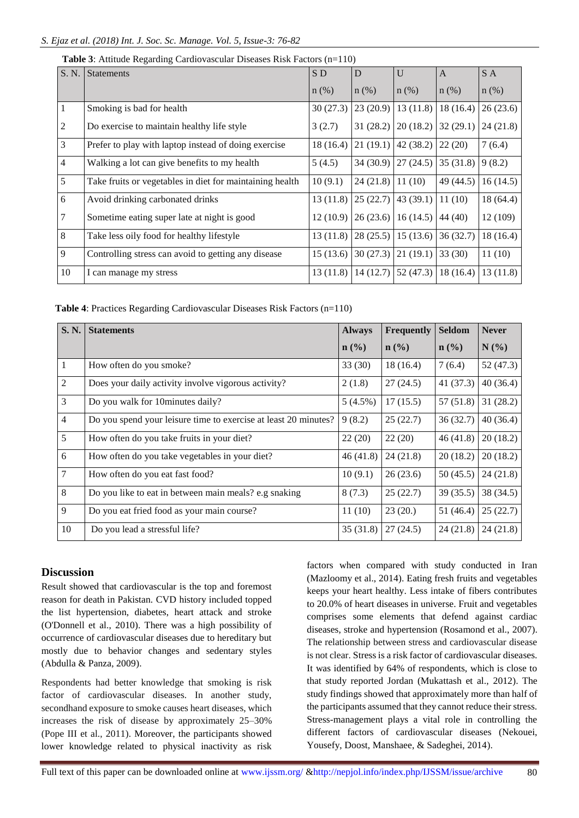| S. N.          | <b>Statements</b>                                        | SD <sub></sub> | D        | U        | A         | S A       |
|----------------|----------------------------------------------------------|----------------|----------|----------|-----------|-----------|
|                |                                                          | $n$ (%)        | $n$ (%)  | $n$ (%)  | $n$ (%)   | $n$ (%)   |
| -1             | Smoking is bad for health                                | 30(27.3)       | 23(20.9) | 13(11.8) | 18(16.4)  | 26(23.6)  |
| 2              | Do exercise to maintain healthy life style               | 3(2.7)         | 31(28.2) | 20(18.2) | 32(29.1)  | 24(21.8)  |
| 3              | Prefer to play with laptop instead of doing exercise     | 18 (16.4)      | 21(19.1) | 42(38.2) | 22(20)    | 7(6.4)    |
| $\overline{4}$ | Walking a lot can give benefits to my health             | 5(4.5)         | 34(30.9) | 27(24.5) | 35(31.8)  | 9(8.2)    |
| 5              | Take fruits or vegetables in diet for maintaining health | 10(9.1)        | 24(21.8) | 11(10)   | 49 (44.5) | 16(14.5)  |
| 6              | Avoid drinking carbonated drinks                         | 13(11.8)       | 25(22.7) | 43(39.1) | 11(10)    | 18 (64.4) |
| $\overline{7}$ | Sometime eating super late at night is good              | 12 (10.9)      | 26(23.6) | 16(14.5) | 44(40)    | 12 (109)  |
| 8              | Take less oily food for healthy lifestyle                | 13(11.8)       | 28(25.5) | 15(13.6) | 36(32.7)  | 18 (16.4) |
| 9              | Controlling stress can avoid to getting any disease      | 15(13.6)       | 30(27.3) | 21(19.1) | 33(30)    | 11(10)    |
| 10             | I can manage my stress                                   | 13(11.8)       | 14(12.7) | 52(47.3) | 18(16.4)  | 13(11.8)  |

**Table 3**: Attitude Regarding Cardiovascular Diseases Risk Factors (n=110)

**Table 4**: Practices Regarding Cardiovascular Diseases Risk Factors (n=110)

| S. N.          | <b>Statements</b>                                               | <b>Always</b>               | Frequently                  | <b>Seldom</b>    | <b>Never</b> |
|----------------|-----------------------------------------------------------------|-----------------------------|-----------------------------|------------------|--------------|
|                |                                                                 | $n\left(\frac{0}{0}\right)$ | $n\left(\frac{0}{0}\right)$ | $\mathbf{n}(\%)$ | N(%)         |
| 1              | How often do you smoke?                                         | 33(30)                      | 18(16.4)                    | 7(6.4)           | 52(47.3)     |
| $\mathfrak{2}$ | Does your daily activity involve vigorous activity?             | 2(1.8)                      | 27(24.5)                    | 41(37.3)         | 40(36.4)     |
| 3              | Do you walk for 10 minutes daily?                               | $5(4.5\%)$                  | 17(15.5)                    | 57(51.8)         | 31(28.2)     |
| $\overline{4}$ | Do you spend your leisure time to exercise at least 20 minutes? | 9(8.2)                      | 25(22.7)                    | 36(32.7)         | 40(36.4)     |
| 5              | How often do you take fruits in your diet?                      | 22(20)                      | 22(20)                      | 46(41.8)         | 20(18.2)     |
| 6              | How often do you take vegetables in your diet?                  | 46(41.8)                    | 24(21.8)                    | 20(18.2)         | 20(18.2)     |
| 7              | How often do you eat fast food?                                 | 10(9.1)                     | 26(23.6)                    | 50(45.5)         | 24(21.8)     |
| 8              | Do you like to eat in between main meals? e.g snaking           | 8(7.3)                      | 25(22.7)                    | 39(35.5)         | 38(34.5)     |
| 9              | Do you eat fried food as your main course?                      | 11(10)                      | 23(20.)                     | 51(46.4)         | 25(22.7)     |
| 10             | Do you lead a stressful life?                                   | 35(31.8)                    | 27(24.5)                    | 24(21.8)         | 24(21.8)     |

# **Discussion**

Result showed that cardiovascular is the top and foremost reason for death in Pakistan. CVD history included topped the list hypertension, diabetes, heart attack and stroke (O'Donnell et al., 2010). There was a high possibility of occurrence of cardiovascular diseases due to hereditary but mostly due to behavior changes and sedentary styles (Abdulla & Panza, 2009).

Respondents had better knowledge that smoking is risk factor of cardiovascular diseases. In another study, secondhand exposure to smoke causes heart diseases, which increases the risk of disease by approximately 25–30% (Pope III et al., 2011). Moreover, the participants showed lower knowledge related to physical inactivity as risk

factors when compared with study conducted in Iran (Mazloomy et al., 2014). Eating fresh fruits and vegetables keeps your heart healthy. Less intake of fibers contributes to 20.0% of heart diseases in universe. Fruit and vegetables comprises some elements that defend against cardiac diseases, stroke and hypertension (Rosamond et al., 2007). The relationship between stress and cardiovascular disease is not clear. Stress is a risk factor of cardiovascular diseases. It was identified by 64% of respondents, which is close to that study reported Jordan (Mukattash et al., 2012). The study findings showed that approximately more than half of the participants assumed that they cannot reduce their stress. Stress-management plays a vital role in controlling the different factors of cardiovascular diseases (Nekouei, Yousefy, Doost, Manshaee, & Sadeghei, 2014).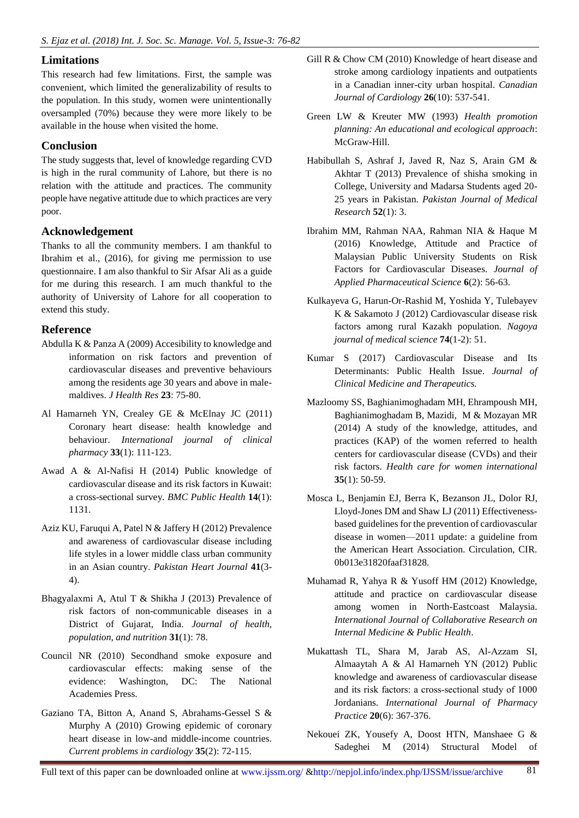# **Limitations**

This research had few limitations. First, the sample was convenient, which limited the generalizability of results to the population. In this study, women were unintentionally oversampled (70%) because they were more likely to be available in the house when visited the home.

# **Conclusion**

The study suggests that, level of knowledge regarding CVD is high in the rural community of Lahore, but there is no relation with the attitude and practices. The community people have negative attitude due to which practices are very poor.

# **Acknowledgement**

Thanks to all the community members. I am thankful to Ibrahim et al., (2016), for giving me permission to use questionnaire. I am also thankful to Sir Afsar Ali as a guide for me during this research. I am much thankful to the authority of University of Lahore for all cooperation to extend this study.

# **Reference**

- Abdulla K & Panza A (2009) Accesibility to knowledge and information on risk factors and prevention of cardiovascular diseases and preventive behaviours among the residents age 30 years and above in malemaldives. *J Health Res* **23**: 75-80.
- Al Hamarneh YN, Crealey GE & McElnay JC (2011) Coronary heart disease: health knowledge and behaviour. *International journal of clinical pharmacy* **33**(1): 111-123.
- Awad A & Al-Nafisi H (2014) Public knowledge of cardiovascular disease and its risk factors in Kuwait: a cross-sectional survey. *BMC Public Health* **14**(1): 1131.
- Aziz KU, Faruqui A, Patel N & Jaffery H (2012) Prevalence and awareness of cardiovascular disease including life styles in a lower middle class urban community in an Asian country. *Pakistan Heart Journal* **41**(3- 4).
- Bhagyalaxmi A, Atul T & Shikha J (2013) Prevalence of risk factors of non-communicable diseases in a District of Gujarat, India. *Journal of health, population, and nutrition* **31**(1): 78.
- Council NR (2010) Secondhand smoke exposure and cardiovascular effects: making sense of the evidence: Washington, DC: The National Academies Press.
- Gaziano TA, Bitton A, Anand S, Abrahams-Gessel S & Murphy A (2010) Growing epidemic of coronary heart disease in low-and middle-income countries. *Current problems in cardiology* **35**(2): 72-115.
- Gill R & Chow CM (2010) Knowledge of heart disease and stroke among cardiology inpatients and outpatients in a Canadian inner-city urban hospital. *Canadian Journal of Cardiology* **26**(10): 537-541.
- Green LW & Kreuter MW (1993) *Health promotion planning: An educational and ecological approach*: McGraw-Hill.
- Habibullah S, Ashraf J, Javed R, Naz S, Arain GM & Akhtar T (2013) Prevalence of shisha smoking in College, University and Madarsa Students aged 20- 25 years in Pakistan. *Pakistan Journal of Medical Research* **52**(1): 3.
- Ibrahim MM, Rahman NAA, Rahman NIA & Haque M (2016) Knowledge, Attitude and Practice of Malaysian Public University Students on Risk Factors for Cardiovascular Diseases. *Journal of Applied Pharmaceutical Science* **6**(2): 56-63.
- Kulkayeva G, Harun-Or-Rashid M, Yoshida Y, Tulebayev K & Sakamoto J (2012) Cardiovascular disease risk factors among rural Kazakh population. *Nagoya journal of medical science* **74**(1-2): 51.
- Kumar S (2017) Cardiovascular Disease and Its Determinants: Public Health Issue. *Journal of Clinical Medicine and Therapeutics.*
- Mazloomy SS, Baghianimoghadam MH, Ehrampoush MH, Baghianimoghadam B, Mazidi, M & Mozayan MR (2014) A study of the knowledge, attitudes, and practices (KAP) of the women referred to health centers for cardiovascular disease (CVDs) and their risk factors. *Health care for women international* **35**(1): 50-59.
- Mosca L, Benjamin EJ, Berra K, Bezanson JL, Dolor RJ, Lloyd-Jones DM and Shaw LJ (2011) Effectivenessbased guidelines for the prevention of cardiovascular disease in women—2011 update: a guideline from the American Heart Association. Circulation, CIR. 0b013e31820faaf31828.
- Muhamad R, Yahya R & Yusoff HM (2012) Knowledge, attitude and practice on cardiovascular disease among women in North-Eastcoast Malaysia. *International Journal of Collaborative Research on Internal Medicine & Public Health*.
- Mukattash TL, Shara M, Jarab AS, Al‐Azzam SI, Almaaytah A & Al Hamarneh YN (2012) Public knowledge and awareness of cardiovascular disease and its risk factors: a cross‐sectional study of 1000 Jordanians. *International Journal of Pharmacy Practice* **20**(6): 367-376.
- Nekouei ZK, Yousefy A, Doost HTN, Manshaee G & Sadeghei M (2014) Structural Model of